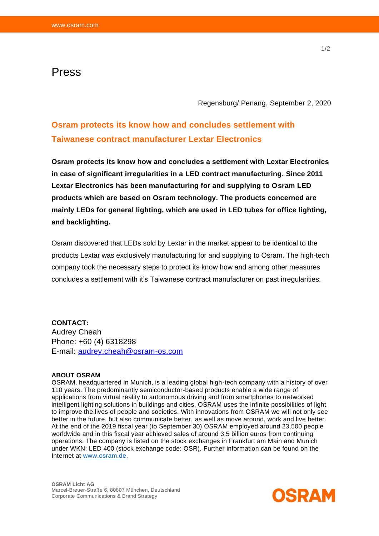## Press

Regensburg/ Penang, September 2, 2020

# **Osram protects its know how and concludes settlement with Taiwanese contract manufacturer Lextar Electronics**

**Osram protects its know how and concludes a settlement with Lextar Electronics in case of significant irregularities in a LED contract manufacturing. Since 2011 Lextar Electronics has been manufacturing for and supplying to Osram LED products which are based on Osram technology. The products concerned are mainly LEDs for general lighting, which are used in LED tubes for office lighting, and backlighting.**

Osram discovered that LEDs sold by Lextar in the market appear to be identical to the products Lextar was exclusively manufacturing for and supplying to Osram. The high-tech company took the necessary steps to protect its know how and among other measures concludes a settlement with it's Taiwanese contract manufacturer on past irregularities.

## **CONTACT:**

Audrey Cheah Phone: +60 (4) 6318298 E-mail: audrey.cheah@osram-os.com

#### **ABOUT OSRAM**

OSRAM, headquartered in Munich, is a leading global high-tech company with a history of over 110 years. The predominantly semiconductor-based products enable a wide range of applications from virtual reality to autonomous driving and from smartphones to networked intelligent lighting solutions in buildings and cities. OSRAM uses the infinite possibilities of light to improve the lives of people and societies. With innovations from OSRAM we will not only see better in the future, but also communicate better, as well as move around, work and live better. At the end of the 2019 fiscal year (to September 30) OSRAM employed around 23,500 people worldwide and in this fiscal year achieved sales of around 3.5 billion euros from continuing operations. The company is listed on the stock exchanges in Frankfurt am Main and Munich under WKN: LED 400 (stock exchange code: OSR). Further information can be found on the Internet at www.osram.de.